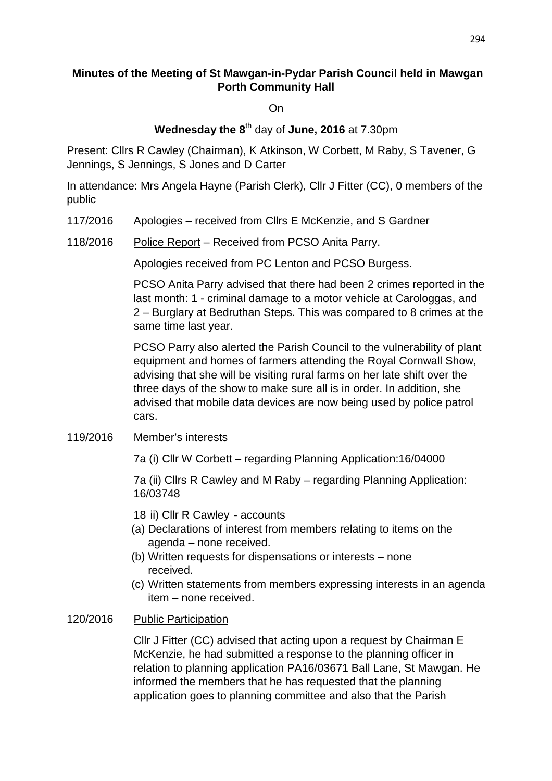## **Minutes of the Meeting of St Mawgan-in-Pydar Parish Council held in Mawgan Porth Community Hall**

On

# **Wednesday the 8**th day of **June, 2016** at 7.30pm

Present: Cllrs R Cawley (Chairman), K Atkinson, W Corbett, M Raby, S Tavener, G Jennings, S Jennings, S Jones and D Carter

In attendance: Mrs Angela Hayne (Parish Clerk), Cllr J Fitter (CC), 0 members of the public

- 117/2016 Apologies received from Cllrs E McKenzie, and S Gardner
- 118/2016 Police Report Received from PCSO Anita Parry.

Apologies received from PC Lenton and PCSO Burgess.

PCSO Anita Parry advised that there had been 2 crimes reported in the last month: 1 - criminal damage to a motor vehicle at Carologgas, and 2 – Burglary at Bedruthan Steps. This was compared to 8 crimes at the same time last year.

 PCSO Parry also alerted the Parish Council to the vulnerability of plant equipment and homes of farmers attending the Royal Cornwall Show, advising that she will be visiting rural farms on her late shift over the three days of the show to make sure all is in order. In addition, she advised that mobile data devices are now being used by police patrol cars.

#### 119/2016 Member's interests

7a (i) Cllr W Corbett – regarding Planning Application:16/04000

 7a (ii) Cllrs R Cawley and M Raby – regarding Planning Application: 16/03748

- 18 ii) Cllr R Cawley accounts
- (a) Declarations of interest from members relating to items on the agenda – none received.
- (b) Written requests for dispensations or interests none received.
- (c) Written statements from members expressing interests in an agenda item – none received.

#### 120/2016 Public Participation

Cllr J Fitter (CC) advised that acting upon a request by Chairman E McKenzie, he had submitted a response to the planning officer in relation to planning application PA16/03671 Ball Lane, St Mawgan. He informed the members that he has requested that the planning application goes to planning committee and also that the Parish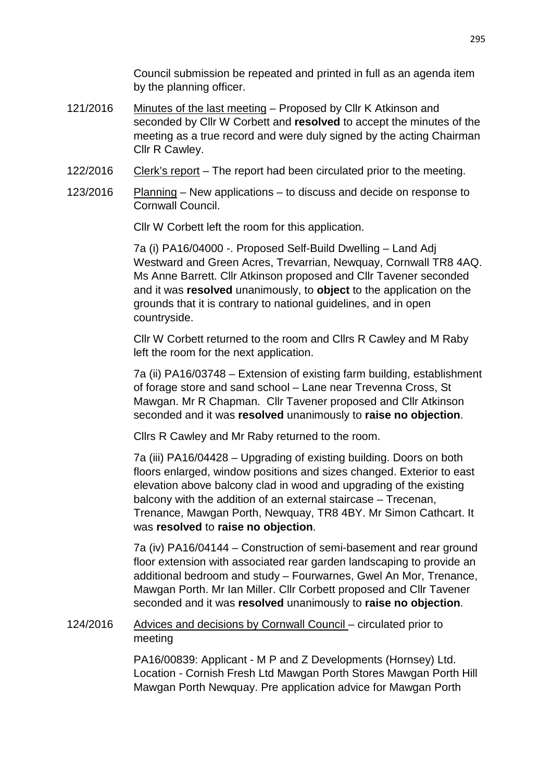Council submission be repeated and printed in full as an agenda item by the planning officer.

- 121/2016 Minutes of the last meeting Proposed by Cllr K Atkinson and seconded by Cllr W Corbett and **resolved** to accept the minutes of the meeting as a true record and were duly signed by the acting Chairman Cllr R Cawley.
- 122/2016 Clerk's report The report had been circulated prior to the meeting.
- 123/2016 Planning New applications to discuss and decide on response to Cornwall Council.

Cllr W Corbett left the room for this application.

 7a (i) PA16/04000 -. Proposed Self-Build Dwelling – Land Adj Westward and Green Acres, Trevarrian, Newquay, Cornwall TR8 4AQ. Ms Anne Barrett. Cllr Atkinson proposed and Cllr Tavener seconded and it was **resolved** unanimously, to **object** to the application on the grounds that it is contrary to national guidelines, and in open countryside.

 Cllr W Corbett returned to the room and Cllrs R Cawley and M Raby left the room for the next application.

 7a (ii) PA16/03748 – Extension of existing farm building, establishment of forage store and sand school – Lane near Trevenna Cross, St Mawgan. Mr R Chapman. Cllr Tavener proposed and Cllr Atkinson seconded and it was **resolved** unanimously to **raise no objection**.

Cllrs R Cawley and Mr Raby returned to the room.

 7a (iii) PA16/04428 – Upgrading of existing building. Doors on both floors enlarged, window positions and sizes changed. Exterior to east elevation above balcony clad in wood and upgrading of the existing balcony with the addition of an external staircase – Trecenan, Trenance, Mawgan Porth, Newquay, TR8 4BY. Mr Simon Cathcart. It was **resolved** to **raise no objection**.

 7a (iv) PA16/04144 – Construction of semi-basement and rear ground floor extension with associated rear garden landscaping to provide an additional bedroom and study – Fourwarnes, Gwel An Mor, Trenance, Mawgan Porth. Mr Ian Miller. Cllr Corbett proposed and Cllr Tavener seconded and it was **resolved** unanimously to **raise no objection**.

#### 124/2016 Advices and decisions by Cornwall Council – circulated prior to meeting

PA16/00839: Applicant - M P and Z Developments (Hornsey) Ltd. Location - Cornish Fresh Ltd Mawgan Porth Stores Mawgan Porth Hill Mawgan Porth Newquay. Pre application advice for Mawgan Porth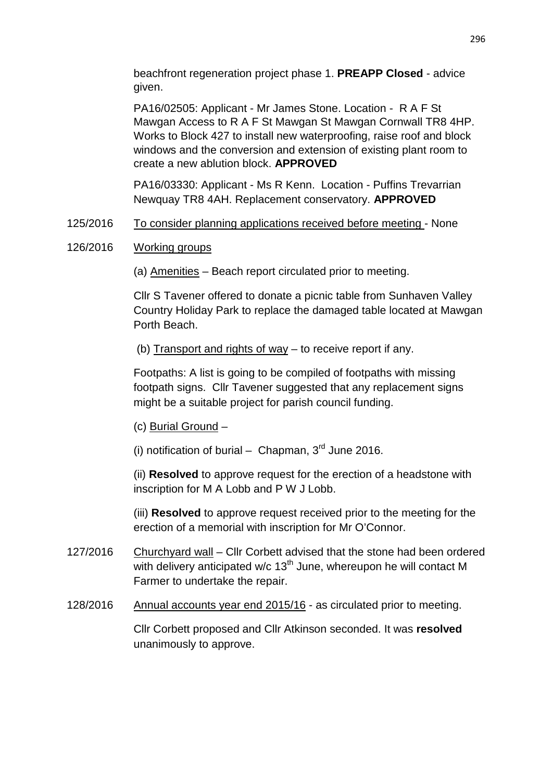beachfront regeneration project phase 1. **PREAPP Closed** - advice given.

PA16/02505: Applicant - Mr James Stone. Location - R A F St Mawgan Access to R A F St Mawgan St Mawgan Cornwall TR8 4HP. Works to Block 427 to install new waterproofing, raise roof and block windows and the conversion and extension of existing plant room to create a new ablution block. **APPROVED**

PA16/03330: Applicant - Ms R Kenn. Location - Puffins Trevarrian Newquay TR8 4AH. Replacement conservatory. **APPROVED**

## 125/2016 To consider planning applications received before meeting - None

## 126/2016 Working groups

(a) Amenities – Beach report circulated prior to meeting.

Cllr S Tavener offered to donate a picnic table from Sunhaven Valley Country Holiday Park to replace the damaged table located at Mawgan Porth Beach.

(b) Transport and rights of way – to receive report if any.

Footpaths: A list is going to be compiled of footpaths with missing footpath signs. Cllr Tavener suggested that any replacement signs might be a suitable project for parish council funding.

(c) Burial Ground –

(i) notification of burial – Chapman,  $3<sup>rd</sup>$  June 2016.

(ii) **Resolved** to approve request for the erection of a headstone with inscription for M A Lobb and P W J Lobb.

(iii) **Resolved** to approve request received prior to the meeting for the erection of a memorial with inscription for Mr O'Connor.

- 127/2016 Churchyard wall Cllr Corbett advised that the stone had been ordered with delivery anticipated w/c  $13^{th}$  June, whereupon he will contact M Farmer to undertake the repair.
- 128/2016 Annual accounts year end 2015/16 as circulated prior to meeting.

 Cllr Corbett proposed and Cllr Atkinson seconded. It was **resolved** unanimously to approve.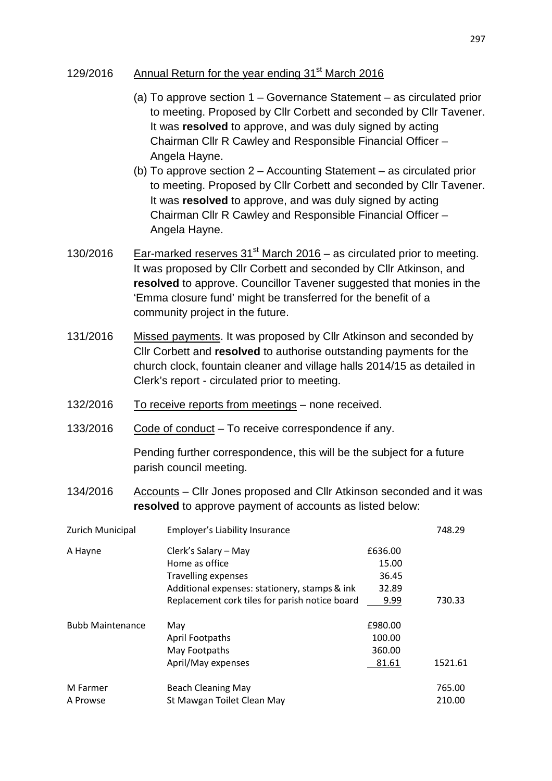## 129/2016 Annual Return for the year ending 31<sup>st</sup> March 2016

- (a) To approve section 1 Governance Statement as circulated prior to meeting. Proposed by Cllr Corbett and seconded by Cllr Tavener. It was **resolved** to approve, and was duly signed by acting Chairman Cllr R Cawley and Responsible Financial Officer – Angela Hayne.
- (b) To approve section 2 Accounting Statement as circulated prior to meeting. Proposed by Cllr Corbett and seconded by Cllr Tavener. It was **resolved** to approve, and was duly signed by acting Chairman Cllr R Cawley and Responsible Financial Officer – Angela Hayne.
- 130/2016 Ear-marked reserves  $31<sup>st</sup>$  March 2016 as circulated prior to meeting. It was proposed by Cllr Corbett and seconded by Cllr Atkinson, and **resolved** to approve. Councillor Tavener suggested that monies in the 'Emma closure fund' might be transferred for the benefit of a community project in the future.
- 131/2016 Missed payments. It was proposed by Cllr Atkinson and seconded by Cllr Corbett and **resolved** to authorise outstanding payments for the church clock, fountain cleaner and village halls 2014/15 as detailed in Clerk's report - circulated prior to meeting.
- 132/2016 To receive reports from meetings none received.
- 133/2016 Code of conduct To receive correspondence if any.

Pending further correspondence, this will be the subject for a future parish council meeting.

134/2016 Accounts – Cllr Jones proposed and Cllr Atkinson seconded and it was **resolved** to approve payment of accounts as listed below:

| Zurich Municipal        | Employer's Liability Insurance                 |         | 748.29  |
|-------------------------|------------------------------------------------|---------|---------|
| A Hayne                 | Clerk's Salary - May                           | £636.00 |         |
|                         | Home as office                                 | 15.00   |         |
|                         | <b>Travelling expenses</b>                     | 36.45   |         |
|                         | Additional expenses: stationery, stamps & ink  | 32.89   |         |
|                         | Replacement cork tiles for parish notice board | 9.99    | 730.33  |
| <b>Bubb Maintenance</b> | May                                            | £980.00 |         |
|                         | <b>April Footpaths</b>                         | 100.00  |         |
|                         | May Footpaths                                  | 360.00  |         |
|                         | April/May expenses                             | 81.61   | 1521.61 |
| M Farmer                | <b>Beach Cleaning May</b>                      |         | 765.00  |
| A Prowse                | St Mawgan Toilet Clean May                     |         | 210.00  |
|                         |                                                |         |         |